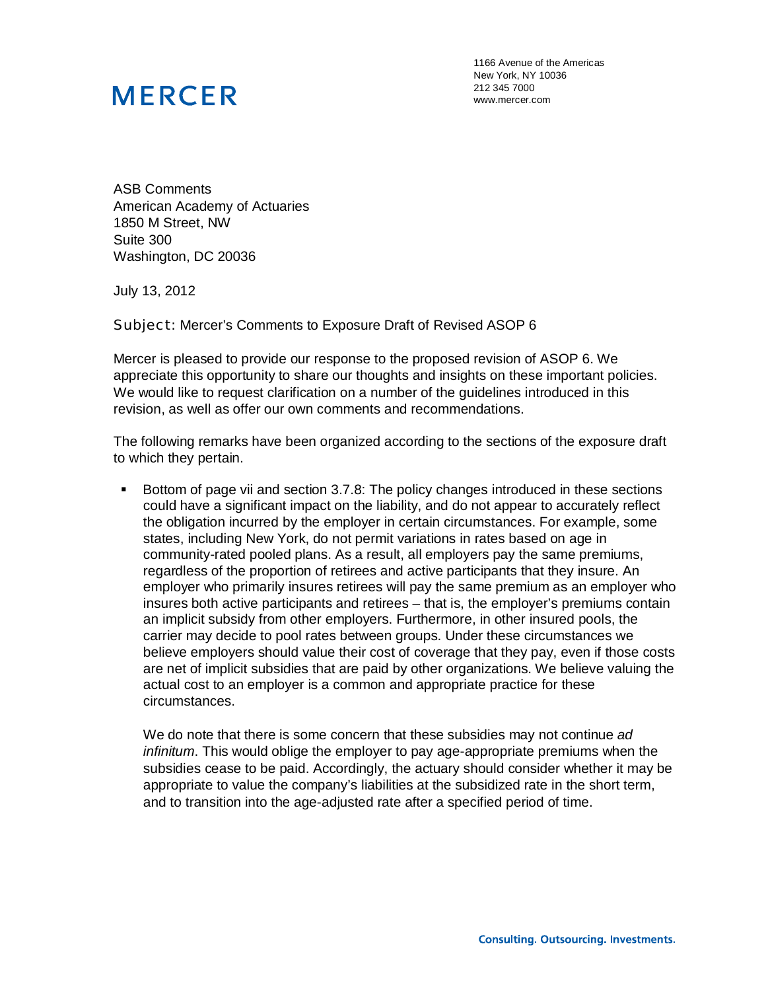## **MERCER**

1166 Avenue of the Americas New York, NY 10036 212 345 7000 www.mercer.com

ASB Comments American Academy of Actuaries 1850 M Street, NW Suite 300 Washington, DC 20036

July 13, 2012

Subject: Mercer's Comments to Exposure Draft of Revised ASOP 6

Mercer is pleased to provide our response to the proposed revision of ASOP 6. We appreciate this opportunity to share our thoughts and insights on these important policies. We would like to request clarification on a number of the guidelines introduced in this revision, as well as offer our own comments and recommendations.

The following remarks have been organized according to the sections of the exposure draft to which they pertain.

 Bottom of page vii and section 3.7.8: The policy changes introduced in these sections could have a significant impact on the liability, and do not appear to accurately reflect the obligation incurred by the employer in certain circumstances. For example, some states, including New York, do not permit variations in rates based on age in community-rated pooled plans. As a result, all employers pay the same premiums, regardless of the proportion of retirees and active participants that they insure. An employer who primarily insures retirees will pay the same premium as an employer who insures both active participants and retirees – that is, the employer's premiums contain an implicit subsidy from other employers. Furthermore, in other insured pools, the carrier may decide to pool rates between groups. Under these circumstances we believe employers should value their cost of coverage that they pay, even if those costs are net of implicit subsidies that are paid by other organizations. We believe valuing the actual cost to an employer is a common and appropriate practice for these circumstances.

We do note that there is some concern that these subsidies may not continue *ad infinitum*. This would oblige the employer to pay age-appropriate premiums when the subsidies cease to be paid. Accordingly, the actuary should consider whether it may be appropriate to value the company's liabilities at the subsidized rate in the short term, and to transition into the age-adjusted rate after a specified period of time.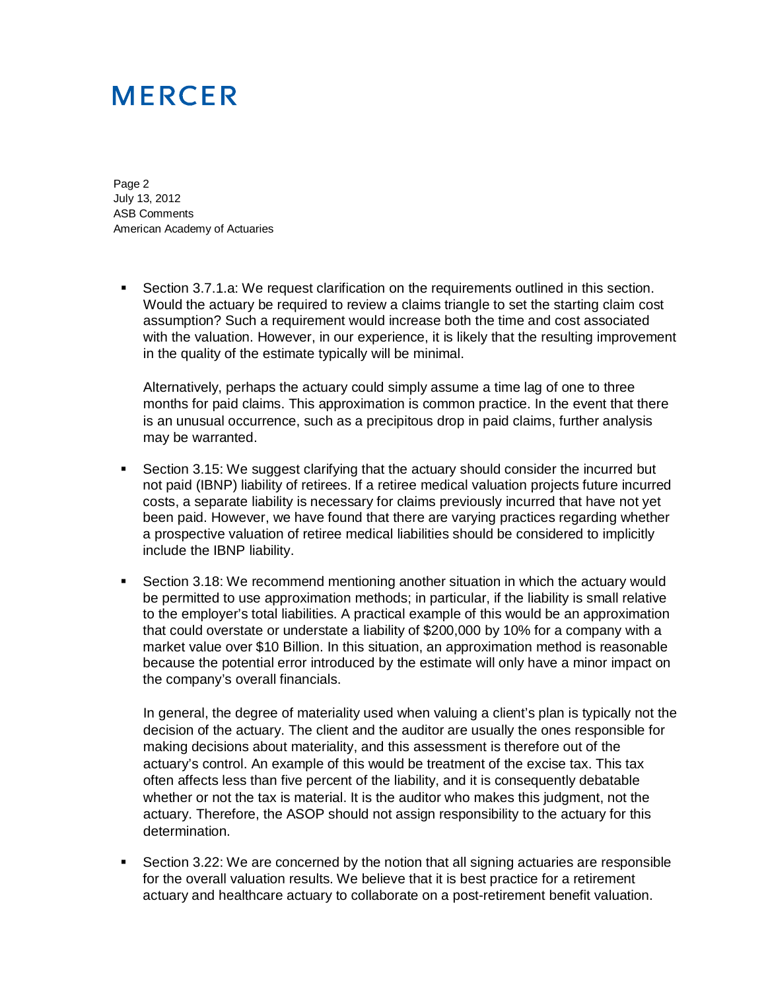## **MERCER**

Page 2 July 13, 2012 ASB Comments American Academy of Actuaries

 Section 3.7.1.a: We request clarification on the requirements outlined in this section. Would the actuary be required to review a claims triangle to set the starting claim cost assumption? Such a requirement would increase both the time and cost associated with the valuation. However, in our experience, it is likely that the resulting improvement in the quality of the estimate typically will be minimal.

Alternatively, perhaps the actuary could simply assume a time lag of one to three months for paid claims. This approximation is common practice. In the event that there is an unusual occurrence, such as a precipitous drop in paid claims, further analysis may be warranted.

- Section 3.15: We suggest clarifying that the actuary should consider the incurred but not paid (IBNP) liability of retirees. If a retiree medical valuation projects future incurred costs, a separate liability is necessary for claims previously incurred that have not yet been paid. However, we have found that there are varying practices regarding whether a prospective valuation of retiree medical liabilities should be considered to implicitly include the IBNP liability.
- Section 3.18: We recommend mentioning another situation in which the actuary would be permitted to use approximation methods; in particular, if the liability is small relative to the employer's total liabilities. A practical example of this would be an approximation that could overstate or understate a liability of \$200,000 by 10% for a company with a market value over \$10 Billion. In this situation, an approximation method is reasonable because the potential error introduced by the estimate will only have a minor impact on the company's overall financials.

In general, the degree of materiality used when valuing a client's plan is typically not the decision of the actuary. The client and the auditor are usually the ones responsible for making decisions about materiality, and this assessment is therefore out of the actuary's control. An example of this would be treatment of the excise tax. This tax often affects less than five percent of the liability, and it is consequently debatable whether or not the tax is material. It is the auditor who makes this judgment, not the actuary. Therefore, the ASOP should not assign responsibility to the actuary for this determination.

 Section 3.22: We are concerned by the notion that all signing actuaries are responsible for the overall valuation results. We believe that it is best practice for a retirement actuary and healthcare actuary to collaborate on a post-retirement benefit valuation.